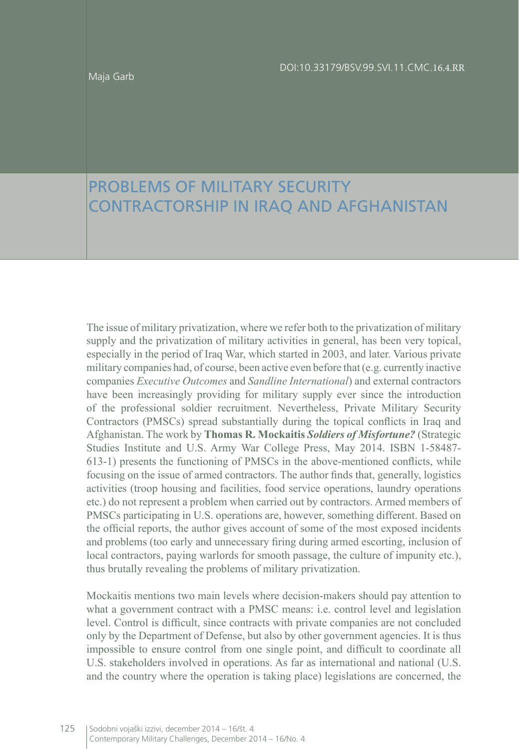Maja Garb

## PROBLEMS OF MILITARY SECURITY CONTRACTORSHIP IN IRAQ AND AFGHANISTAN

The issue of military privatization, where we refer both to the privatization of military supply and the privatization of military activities in general, has been very topical, especially in the period of Iraq War, which started in 2003, and later. Various private military companies had, of course, been active even before that (e.g. currently inactive companies *Executive Outcomes* and *Sandline International*) and external contractors have been increasingly providing for military supply ever since the introduction of the professional soldier recruitment. Nevertheless, Private Military Security Contractors (PMSCs) spread substantially during the topical conflicts in Iraq and Afghanistan. The work by **Thomas R. Mockaitis** *Soldiers of Misfortune?* (Strategic Studies Institute and U.S. Army War College Press, May 2014. ISBN 1-58487- 613-1) presents the functioning of PMSCs in the above-mentioned conflicts, while focusing on the issue of armed contractors. The author finds that, generally, logistics activities (troop housing and facilities, food service operations, laundry operations etc.) do not represent a problem when carried out by contractors. Armed members of PMSCs participating in U.S. operations are, however, something different. Based on the official reports, the author gives account of some of the most exposed incidents and problems (too early and unnecessary firing during armed escorting, inclusion of local contractors, paying warlords for smooth passage, the culture of impunity etc.), thus brutally revealing the problems of military privatization.

Mockaitis mentions two main levels where decision-makers should pay attention to what a government contract with a PMSC means: i.e. control level and legislation level. Control is difficult, since contracts with private companies are not concluded only by the Department of Defense, but also by other government agencies. It is thus impossible to ensure control from one single point, and difficult to coordinate all U.S. stakeholders involved in operations. As far as international and national (U.S. and the country where the operation is taking place) legislations are concerned, the